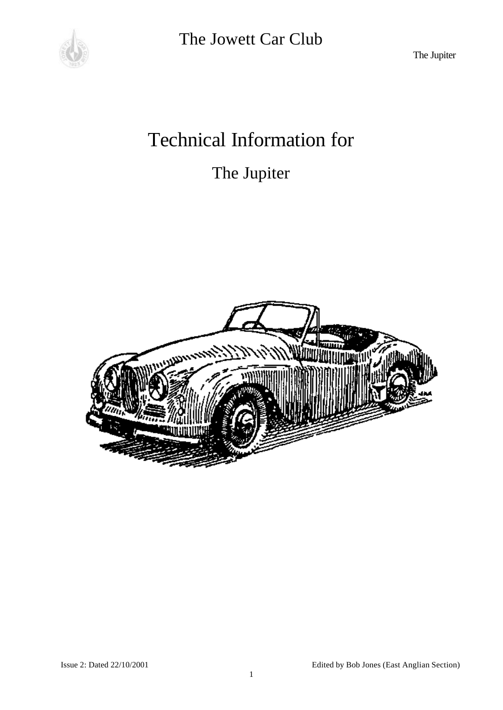

The Jupiter

# Technical Information for

## The Jupiter

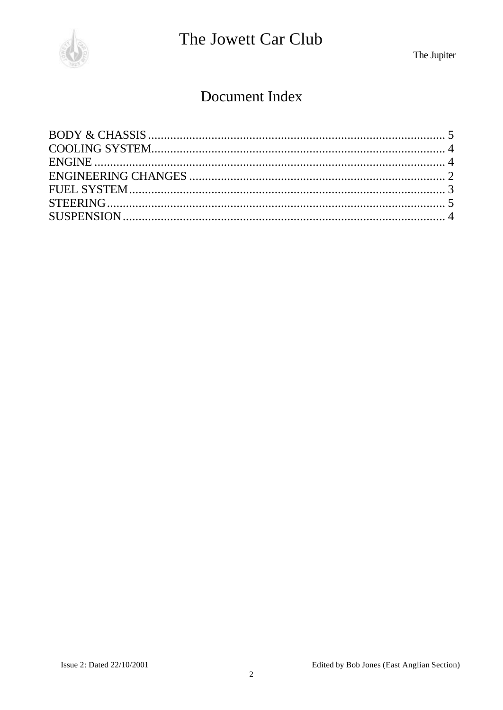

The Jupiter

### Document Index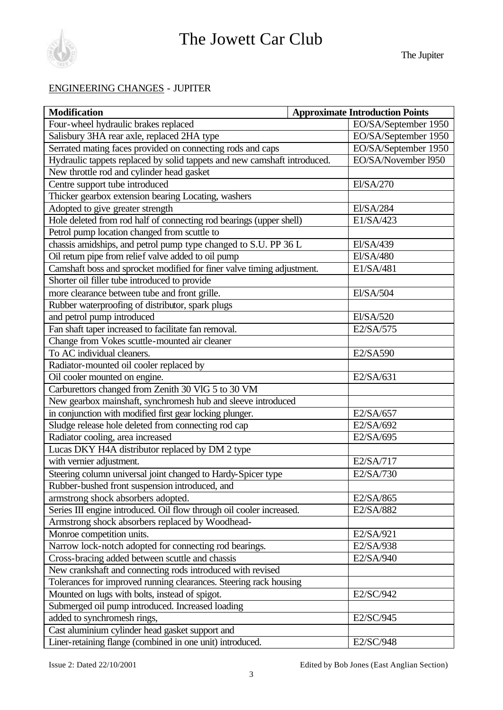

#### ENGINEERING CHANGES - JUPITER

| <b>Modification</b>                                                      |  | <b>Approximate Introduction Points</b> |
|--------------------------------------------------------------------------|--|----------------------------------------|
| Four-wheel hydraulic brakes replaced                                     |  | EO/SA/September 1950                   |
| Salisbury 3HA rear axle, replaced 2HA type                               |  | EO/SA/September 1950                   |
| Serrated mating faces provided on connecting rods and caps               |  | EO/SA/September 1950                   |
| Hydraulic tappets replaced by solid tappets and new camshaft introduced. |  | EO/SA/November 1950                    |
| New throttle rod and cylinder head gasket                                |  |                                        |
| Centre support tube introduced                                           |  | El/SA/270                              |
| Thicker gearbox extension bearing Locating, washers                      |  |                                        |
| Adopted to give greater strength                                         |  | El/SA/284                              |
| Hole deleted from rod half of connecting rod bearings (upper shell)      |  | E1/SA/423                              |
| Petrol pump location changed from scuttle to                             |  |                                        |
| chassis amidships, and petrol pump type changed to S.U. PP 36 L          |  | El/SA/439                              |
| Oil return pipe from relief valve added to oil pump                      |  | El/SA/480                              |
| Camshaft boss and sprocket modified for finer valve timing adjustment.   |  | E1/SA/481                              |
| Shorter oil filler tube introduced to provide                            |  |                                        |
| more clearance between tube and front grille.                            |  | El/SA/504                              |
| Rubber waterproofing of distributor, spark plugs                         |  |                                        |
| and petrol pump introduced                                               |  | El/SA/520                              |
| Fan shaft taper increased to facilitate fan removal.                     |  | E2/SA/575                              |
| Change from Vokes scuttle-mounted air cleaner                            |  |                                        |
| To AC individual cleaners.                                               |  | E2/SA590                               |
| Radiator-mounted oil cooler replaced by                                  |  |                                        |
| Oil cooler mounted on engine.                                            |  | E2/SA/631                              |
| Carburettors changed from Zenith 30 VlG 5 to 30 VM                       |  |                                        |
| New gearbox mainshaft, synchromesh hub and sleeve introduced             |  |                                        |
| in conjunction with modified first gear locking plunger.                 |  | E2/SA/657                              |
| Sludge release hole deleted from connecting rod cap                      |  | E2/SA/692                              |
| Radiator cooling, area increased                                         |  | E2/SA/695                              |
| Lucas DKY H4A distributor replaced by DM 2 type                          |  |                                        |
| with vernier adjustment.                                                 |  | E2/SA/717                              |
| Steering column universal joint changed to Hardy-Spicer type             |  | E2/SA/730                              |
| Rubber-bushed front suspension introduced, and                           |  |                                        |
| armstrong shock absorbers adopted.                                       |  | E2/SA/865                              |
| Series III engine introduced. Oil flow through oil cooler increased.     |  | E2/SA/882                              |
| Armstrong shock absorbers replaced by Woodhead-                          |  |                                        |
| Monroe competition units.                                                |  | E2/SA/921                              |
| Narrow lock-notch adopted for connecting rod bearings.                   |  | E2/SA/938                              |
| Cross-bracing added between scuttle and chassis                          |  | E2/SA/940                              |
| New crankshaft and connecting rods introduced with revised               |  |                                        |
| Tolerances for improved running clearances. Steering rack housing        |  |                                        |
| Mounted on lugs with bolts, instead of spigot.                           |  | E2/SC/942                              |
| Submerged oil pump introduced. Increased loading                         |  |                                        |
| added to synchromesh rings,                                              |  | E2/SC/945                              |
| Cast aluminium cylinder head gasket support and                          |  |                                        |
| Liner-retaining flange (combined in one unit) introduced.                |  | E2/SC/948                              |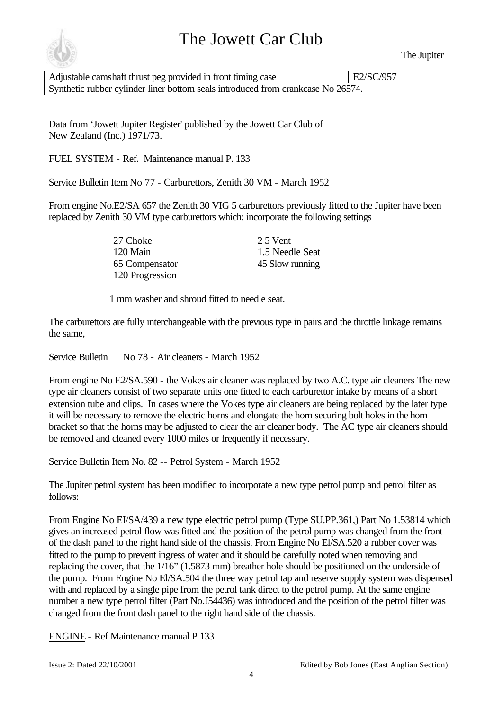

The Jupiter

| Adjustable camshaft thrust peg provided in front timing case                     | E2/SC/957 |  |
|----------------------------------------------------------------------------------|-----------|--|
| Synthetic rubber cylinder liner bottom seals introduced from crankcase No 26574. |           |  |

Data from 'Jowett Jupiter Register' published by the Jowett Car Club of New Zealand (Inc.) 1971/73.

FUEL SYSTEM - Ref. Maintenance manual P. 133

Service Bulletin Item No 77 - Carburettors, Zenith 30 VM - March 1952

From engine No.E2/SA 657 the Zenith 30 VIG 5 carburettors previously fitted to the Jupiter have been replaced by Zenith 30 VM type carburettors which: incorporate the following settings

> 27 Choke 25 Vent 120 Main 1.5 Needle Seat 65 Compensator 45 Slow running 120 Progression

1 mm washer and shroud fitted to needle seat.

The carburettors are fully interchangeable with the previous type in pairs and the throttle linkage remains the same,

Service Bulletin No 78 - Air cleaners - March 1952

From engine No E2/SA.590 - the Vokes air cleaner was replaced by two A.C. type air cleaners The new type air cleaners consist of two separate units one fitted to each carburettor intake by means of a short extension tube and clips. In cases where the Vokes type air cleaners are being replaced by the later type it will be necessary to remove the electric horns and elongate the horn securing bolt holes in the horn bracket so that the horns may be adjusted to clear the air cleaner body. The AC type air cleaners should be removed and cleaned every 1000 miles or frequently if necessary.

Service Bulletin Item No. 82 -- Petrol System - March 1952

The Jupiter petrol system has been modified to incorporate a new type petrol pump and petrol filter as follows:

From Engine No EI/SA/439 a new type electric petrol pump (Type SU.PP.361,) Part No 1.53814 which gives an increased petrol flow was fitted and the position of the petrol pump was changed from the front of the dash panel to the right hand side of the chassis. From Engine No El/SA.520 a rubber cover was fitted to the pump to prevent ingress of water and it should be carefully noted when removing and replacing the cover, that the 1/16" (1.5873 mm) breather hole should be positioned on the underside of the pump. From Engine No El/SA.504 the three way petrol tap and reserve supply system was dispensed with and replaced by a single pipe from the petrol tank direct to the petrol pump. At the same engine number a new type petrol filter (Part No.J54436) was introduced and the position of the petrol filter was changed from the front dash panel to the right hand side of the chassis.

ENGINE - Ref Maintenance manual P 133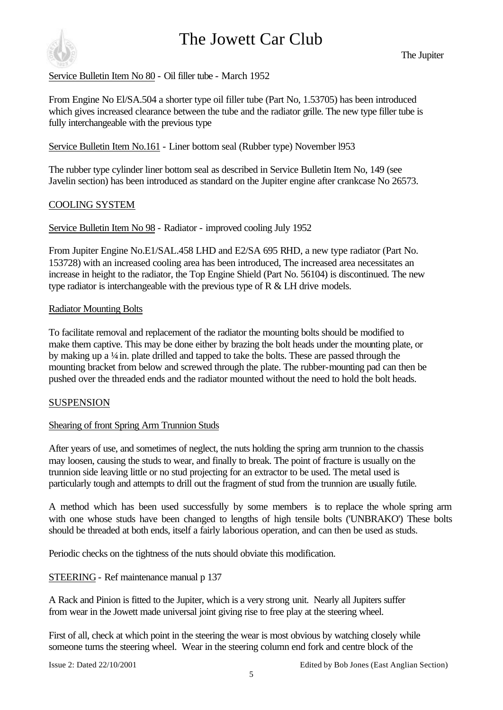

Service Bulletin Item No 80 - Oil filler tube - March 1952

From Engine No El/SA.504 a shorter type oil filler tube (Part No, 1.53705) has been introduced which gives increased clearance between the tube and the radiator grille. The new type filler tube is fully interchangeable with the previous type

Service Bulletin Item No.161 - Liner bottom seal (Rubber type) November l953

The rubber type cylinder liner bottom seal as described in Service Bulletin Item No, 149 (see Javelin section) has been introduced as standard on the Jupiter engine after crankcase No 26573.

#### COOLING SYSTEM

Service Bulletin Item No 98 - Radiator - improved cooling July 1952

From Jupiter Engine No.E1/SAL.458 LHD and E2/SA 695 RHD, a new type radiator (Part No. 153728) with an increased cooling area has been introduced, The increased area necessitates an increase in height to the radiator, the Top Engine Shield (Part No. 56104) is discontinued. The new type radiator is interchangeable with the previous type of R & LH drive models.

#### Radiator Mounting Bolts

To facilitate removal and replacement of the radiator the mounting bolts should be modified to make them captive. This may be done either by brazing the bolt heads under the mounting plate, or by making up a ¼ in. plate drilled and tapped to take the bolts. These are passed through the mounting bracket from below and screwed through the plate. The rubber-mounting pad can then be pushed over the threaded ends and the radiator mounted without the need to hold the bolt heads.

#### **SUSPENSION**

#### Shearing of front Spring Arm Trunnion Studs

After years of use, and sometimes of neglect, the nuts holding the spring arm trunnion to the chassis may loosen, causing the studs to wear, and finally to break. The point of fracture is usually on the trunnion side leaving little or no stud projecting for an extractor to be used. The metal used is particularly tough and attempts to drill out the fragment of stud from the trunnion are usually futile.

A method which has been used successfully by some members is to replace the whole spring arm with one whose studs have been changed to lengths of high tensile bolts ('UNBRAKO') These bolts should be threaded at both ends, itself a fairly laborious operation, and can then be used as studs.

Periodic checks on the tightness of the nuts should obviate this modification.

#### STEERING - Ref maintenance manual p 137

A Rack and Pinion is fitted to the Jupiter, which is a very strong unit. Nearly all Jupiters suffer from wear in the Jowett made universal joint giving rise to free play at the steering wheel.

First of all, check at which point in the steering the wear is most obvious by watching closely while someone turns the steering wheel. Wear in the steering column end fork and centre block of the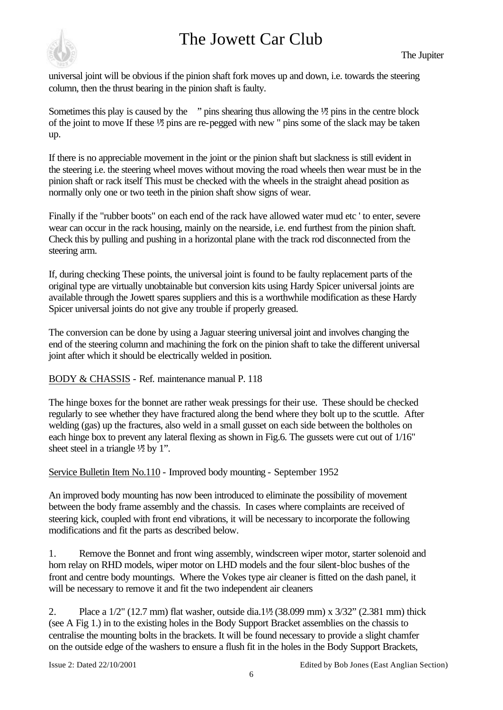

universal joint will be obvious if the pinion shaft fork moves up and down, i.e. towards the steering column, then the thrust bearing in the pinion shaft is faulty.

Sometimes this play is caused by the  $\gamma$  pins shearing thus allowing the  $\frac{1}{2}$  pins in the centre block of the joint to move If these  $\frac{1}{2}$  pins are re-pegged with new " pins some of the slack may be taken up.

If there is no appreciable movement in the joint or the pinion shaft but slackness is still evident in the steering i.e. the steering wheel moves without moving the road wheels then wear must be in the pinion shaft or rack itself This must be checked with the wheels in the straight ahead position as normally only one or two teeth in the pinion shaft show signs of wear.

Finally if the "rubber boots" on each end of the rack have allowed water mud etc ' to enter, severe wear can occur in the rack housing, mainly on the nearside, i.e. end furthest from the pinion shaft. Check this by pulling and pushing in a horizontal plane with the track rod disconnected from the steering arm.

If, during checking These points, the universal joint is found to be faulty replacement parts of the original type are virtually unobtainable but conversion kits using Hardy Spicer universal joints are available through the Jowett spares suppliers and this is a worthwhile modification as these Hardy Spicer universal joints do not give any trouble if properly greased.

The conversion can be done by using a Jaguar steering universal joint and involves changing the end of the steering column and machining the fork on the pinion shaft to take the different universal joint after which it should be electrically welded in position.

#### BODY & CHASSIS - Ref. maintenance manual P. 118

The hinge boxes for the bonnet are rather weak pressings for their use. These should be checked regularly to see whether they have fractured along the bend where they bolt up to the scuttle. After welding (gas) up the fractures, also weld in a small gusset on each side between the boltholes on each hinge box to prevent any lateral flexing as shown in Fig.6. The gussets were cut out of 1/16" sheet steel in a triangle  $\frac{1}{2}$  by 1".

Service Bulletin Item No.110 - Improved body mounting - September 1952

An improved body mounting has now been introduced to eliminate the possibility of movement between the body frame assembly and the chassis. In cases where complaints are received of steering kick, coupled with front end vibrations, it will be necessary to incorporate the following modifications and fit the parts as described below.

1. Remove the Bonnet and front wing assembly, windscreen wiper motor, starter solenoid and horn relay on RHD models, wiper motor on LHD models and the four silent-bloc bushes of the front and centre body mountings. Where the Vokes type air cleaner is fitted on the dash panel, it will be necessary to remove it and fit the two independent air cleaners

2. Place a 1/2" (12.7 mm) flat washer, outside dia.1½" (38.099 mm) x 3/32" (2.381 mm) thick (see A Fig 1.) in to the existing holes in the Body Support Bracket assemblies on the chassis to centralise the mounting bolts in the brackets. It will be found necessary to provide a slight chamfer on the outside edge of the washers to ensure a flush fit in the holes in the Body Support Brackets,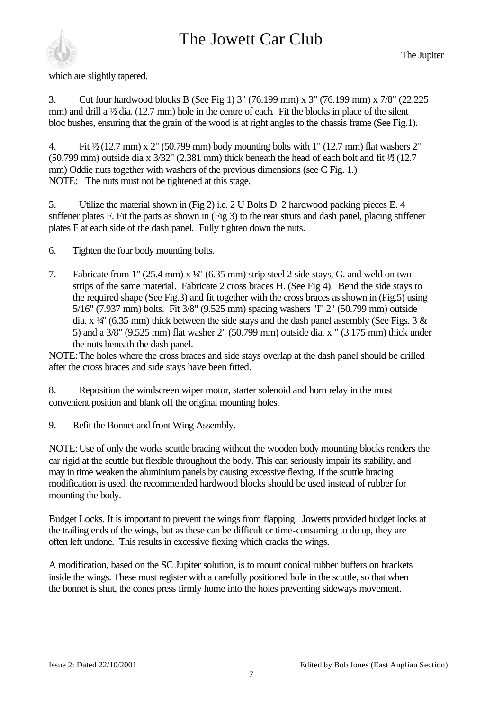

which are slightly tapered.

3. Cut four hardwood blocks B (See Fig 1) 3" (76.199 mm) x 3" (76.199 mm) x 7/8" (22.225 mm) and drill a  $\frac{1}{2}$  dia. (12.7 mm) hole in the centre of each. Fit the blocks in place of the silent bloc bushes, ensuring that the grain of the wood is at right angles to the chassis frame (See Fig.1).

4. Fit  $\frac{1}{2}$  (12.7 mm) x 2" (50.799 mm) body mounting bolts with 1" (12.7 mm) flat washers 2" (50.799 mm) outside dia x  $3/32$ " (2.381 mm) thick beneath the head of each bolt and fit  $\frac{1}{2}$  (12.7) mm) Oddie nuts together with washers of the previous dimensions (see C Fig. 1.) NOTE: The nuts must not be tightened at this stage.

5. Utilize the material shown in (Fig 2) i.e. 2 U Bolts D. 2 hardwood packing pieces E. 4 stiffener plates F. Fit the parts as shown in (Fig 3) to the rear struts and dash panel, placing stiffener plates F at each side of the dash panel. Fully tighten down the nuts.

- 6. Tighten the four body mounting bolts.
- 7. Fabricate from 1" (25.4 mm) x ¼" (6.35 mm) strip steel 2 side stays, G. and weld on two strips of the same material. Fabricate 2 cross braces H. (See Fig 4). Bend the side stays to the required shape (See Fig.3) and fit together with the cross braces as shown in (Fig.5) using 5/16" (7.937 mm) bolts. Fit 3/8" (9.525 mm) spacing washers "I" 2" (50.799 mm) outside dia.  $x \frac{1}{4}$  (6.35 mm) thick between the side stays and the dash panel assembly (See Figs. 3 & 5) and a 3/8" (9.525 mm) flat washer 2" (50.799 mm) outside dia. x " (3.175 mm) thick under the nuts beneath the dash panel.

NOTE:The holes where the cross braces and side stays overlap at the dash panel should be drilled after the cross braces and side stays have been fitted.

8. Reposition the windscreen wiper motor, starter solenoid and horn relay in the most convenient position and blank off the original mounting holes.

9. Refit the Bonnet and front Wing Assembly.

NOTE:Use of only the works scuttle bracing without the wooden body mounting blocks renders the car rigid at the scuttle but flexible throughout the body. This can seriously impair its stability, and may in time weaken the aluminium panels by causing excessive flexing. If the scuttle bracing modification is used, the recommended hardwood blocks should be used instead of rubber for mounting the body.

Budget Locks. It is important to prevent the wings from flapping. Jowetts provided budget locks at the trailing ends of the wings, but as these can be difficult or time-consuming to do up, they are often left undone. This results in excessive flexing which cracks the wings.

A modification, based on the SC Jupiter solution, is to mount conical rubber buffers on brackets inside the wings. These must register with a carefully positioned hole in the scuttle, so that when the bonnet is shut, the cones press firmly home into the holes preventing sideways movement.